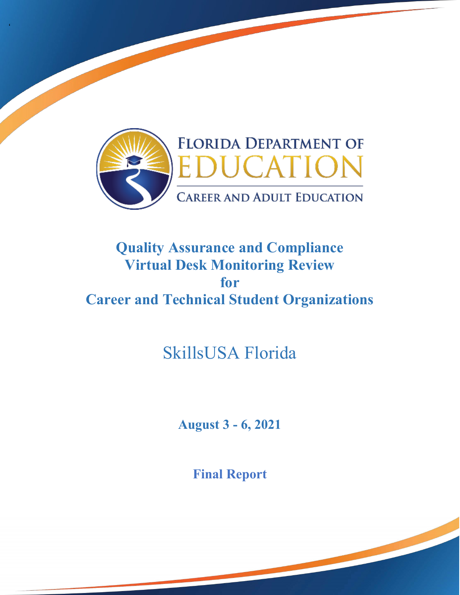

'

## **Quality Assurance and Compliance Virtual Desk Monitoring Review Career and Technical Student Organizations for**

# SkillsUSA Florida

**August 3 - 6, 2021** 

**Final Report**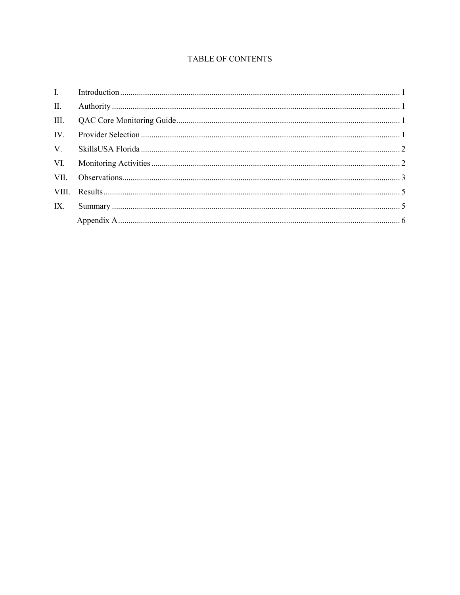### **TABLE OF CONTENTS**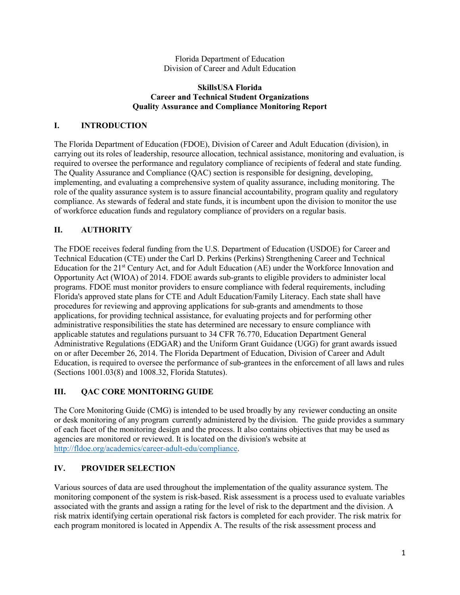Florida Department of Education Division of Career and Adult Education

#### **Career and Technical Student Organizations SkillsUSA Florida Quality Assurance and Compliance Monitoring Report**

#### **I. INTRODUCTION**

 role of the quality assurance system is to assure financial accountability, program quality and regulatory compliance. As stewards of federal and state funds, it is incumbent upon the division to monitor the use of workforce education funds and regulatory compliance of providers on a regular basis. The Florida Department of Education (FDOE), Division of Career and Adult Education (division), in carrying out its roles of leadership, resource allocation, technical assistance, monitoring and evaluation, is required to oversee the performance and regulatory compliance of recipients of federal and state funding. The Quality Assurance and Compliance (QAC) section is responsible for designing, developing, implementing, and evaluating a comprehensive system of quality assurance, including monitoring. The

#### **II. AUTHORITY**

Education for the 21<sup>st</sup> Century Act, and for Adult Education (AE) under the Workforce Innovation and procedures for reviewing and approving applications for sub-grants and amendments to those applicable statutes and regulations pursuant to 34 CFR 76.770, Education Department General Administrative Regulations (EDGAR) and the Uniform Grant Guidance (UGG) for grant awards issued on or after December 26, 2014. The Florida Department of Education, Division of Career and Adult The FDOE receives federal funding from the U.S. Department of Education (USDOE) for Career and Technical Education (CTE) under the Carl D. Perkins (Perkins) Strengthening Career and Technical Opportunity Act (WIOA) of 2014. FDOE awards sub-grants to eligible providers to administer local programs. FDOE must monitor providers to ensure compliance with federal requirements, including Florida's approved state plans for CTE and Adult Education/Family Literacy. Each state shall have applications, for providing technical assistance, for evaluating projects and for performing other administrative responsibilities the state has determined are necessary to ensure compliance with Education, is required to oversee the performance of sub-grantees in the enforcement of all laws and rules (Sections 1001.03(8) and 1008.32, Florida Statutes).

#### **III. QAC CORE MONITORING GUIDE**

 The Core Monitoring Guide (CMG) is intended to be used broadly by any reviewer conducting an onsite or desk monitoring of any program currently administered by the division. The guide provides a summary of each facet of the monitoring design and the process. It also contains objectives that may be used as agencies are monitored or reviewed. It is located on the division's website at [http://fldoe.org/academics/career-adult-edu/compliance.](http://fldoe.org/academics/career-adult-edu/compliance)

## **IV. PROVIDER SELECTION**

 Various sources of data are used throughout the implementation of the quality assurance system. The monitoring component of the system is risk-based. Risk assessment is a process used to evaluate variables associated with the grants and assign a rating for the level of risk to the department and the division. A risk matrix identifying certain operational risk factors is completed for each provider. The risk matrix for each program monitored is located in Appendix A. The results of the risk assessment process and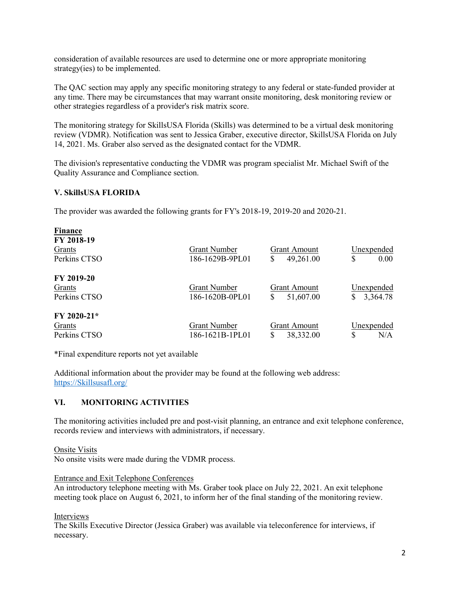consideration of available resources are used to determine one or more appropriate monitoring strategy(ies) to be implemented.

The QAC section may apply any specific monitoring strategy to any federal or state-funded provider at any time. There may be circumstances that may warrant onsite monitoring, desk monitoring review or other strategies regardless of a provider's risk matrix score.

The monitoring strategy for SkillsUSA Florida (Skills) was determined to be a virtual desk monitoring review (VDMR). Notification was sent to Jessica Graber, executive director, SkillsUSA Florida on July 14, 2021. Ms. Graber also served as the designated contact for the VDMR.

The division's representative conducting the VDMR was program specialist Mr. Michael Swift of the Quality Assurance and Compliance section.

#### **V. SkillsUSA FLORIDA**

The provider was awarded the following grants for FY's 2018-19, 2019-20 and 2020-21.

| <b>Finance</b> |                     |                     |                      |
|----------------|---------------------|---------------------|----------------------|
| FY 2018-19     |                     |                     |                      |
| Grants         | <b>Grant Number</b> | <b>Grant Amount</b> | Unexpended           |
| Perkins CTSO   | 186-1629B-9PL01     | 49,261.00<br>\$     | \$<br>$0.00^{\circ}$ |
| FY 2019-20     |                     |                     |                      |
| Grants         | <b>Grant Number</b> | <b>Grant Amount</b> | Unexpended           |
| Perkins CTSO   | 186-1620B-0PL01     | 51,607.00<br>\$     | 3,364.78<br>S        |
| $FY 2020-21*$  |                     |                     |                      |
| Grants         | <b>Grant Number</b> | Grant Amount        | Unexpended           |
| Perkins CTSO   | 186-1621B-1PL01     | \$<br>38,332.00     | N/A<br>S             |

\*Final expenditure reports not yet available

 Additional information about the provider may be found at the following web address: [https://Skillsusafl.org/](https://skillsusafl.org/) 

#### **VI. MONITORING ACTIVITIES**

 records review and interviews with administrators, if necessary. The monitoring activities included pre and post-visit planning, an entrance and exit telephone conference,

Onsite Visits

No onsite visits were made during the VDMR process.

Entrance and Exit Telephone Conferences

An introductory telephone meeting with Ms. Graber took place on July 22, 2021. An exit telephone meeting took place on August 6, 2021, to inform her of the final standing of the monitoring review.

Interviews

The Skills Executive Director (Jessica Graber) was available via teleconference for interviews, if necessary.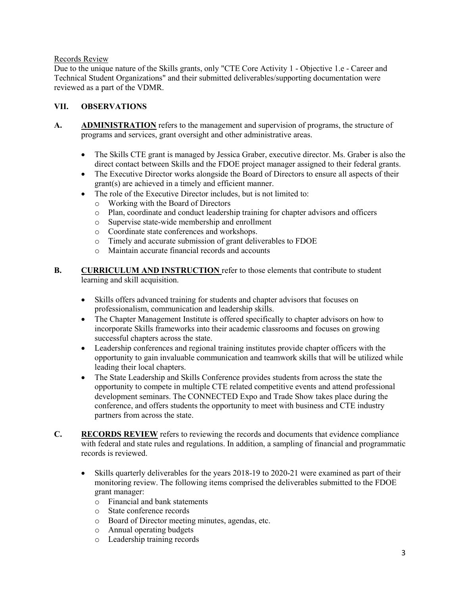#### Records Review

 Due to the unique nature of the Skills grants, only "CTE Core Activity 1 - Objective 1.e - Career and Technical Student Organizations" and their submitted deliverables/supporting documentation were reviewed as a part of the VDMR.

#### **VII. OBSERVATIONS**

- A. **ADMINISTRATION** refers to the management and supervision of programs, the structure of programs and services, grant oversight and other administrative areas.
	- The Skills CTE grant is managed by Jessica Graber, executive director. Ms. Graber is also the direct contact between Skills and the FDOE project manager assigned to their federal grants.
	- grant(s) are achieved in a timely and efficient manner. • The Executive Director works alongside the Board of Directors to ensure all aspects of their
	- The role of the Executive Director includes, but is not limited to:
		- o Working with the Board of Directors
		- o Plan, coordinate and conduct leadership training for chapter advisors and officers
		- o Supervise state-wide membership and enrollment
		- o Coordinate state conferences and workshops.
		- o Timely and accurate submission of grant deliverables to FDOE
		- o Maintain accurate financial records and accounts
- **B. CURRICULUM AND INSTRUCTION** refer to those elements that contribute to student learning and skill acquisition.
	- • Skills offers advanced training for students and chapter advisors that focuses on professionalism, communication and leadership skills.
	- The Chapter Management Institute is offered specifically to chapter advisors on how to incorporate Skills frameworks into their academic classrooms and focuses on growing successful chapters across the state.
	- Leadership conferences and regional training institutes provide chapter officers with the opportunity to gain invaluable communication and teamwork skills that will be utilized while leading their local chapters.
	- • The State Leadership and Skills Conference provides students from across the state the conference, and offers students the opportunity to meet with business and CTE industry opportunity to compete in multiple CTE related competitive events and attend professional development seminars. The CONNECTED Expo and Trade Show takes place during the partners from across the state.
- **C. RECORDS REVIEW** refers to reviewing the records and documents that evidence compliance with federal and state rules and regulations. In addition, a sampling of financial and programmatic records is reviewed.
	- • Skills quarterly deliverables for the years 2018-19 to 2020-21 were examined as part of their monitoring review. The following items comprised the deliverables submitted to the FDOE grant manager:
		- o Financial and bank statements
		- o State conference records
		- o Board of Director meeting minutes, agendas, etc.
		- o Annual operating budgets
		- o Leadership training records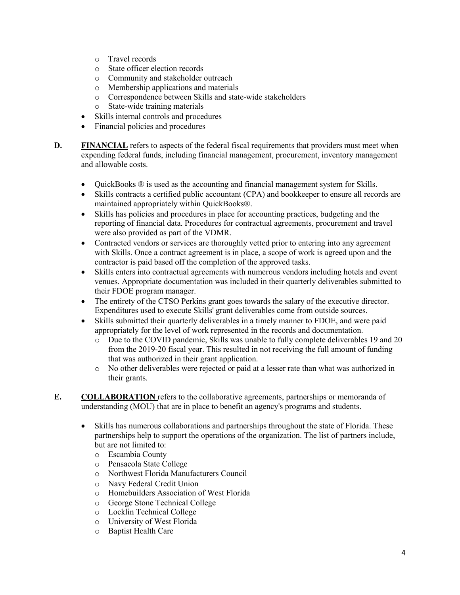- o Travel records
- State officer election records
- Community and stakeholder outreach<br>○ Membership applications and material
- Membership applications and materials
- o Correspondence between Skills and state-wide stakeholders
- State-wide training materials
- Skills internal controls and procedures
- Financial policies and procedures
- **D.** FINANCIAL refers to aspects of the federal fiscal requirements that providers must meet when expending federal funds, including financial management, procurement, inventory management and allowable costs.
	- QuickBooks  $\mathcal{R}$  is used as the accounting and financial management system for Skills.
	- Skills contracts a certified public accountant (CPA) and bookkeeper to ensure all records are maintained appropriately within QuickBooks®.
	- Skills has policies and procedures in place for accounting practices, budgeting and the reporting of financial data. Procedures for contractual agreements, procurement and travel were also provided as part of the VDMR.
	- • Contracted vendors or services are thoroughly vetted prior to entering into any agreement with Skills. Once a contract agreement is in place, a scope of work is agreed upon and the contractor is paid based off the completion of the approved tasks.
	- • Skills enters into contractual agreements with numerous vendors including hotels and event venues. Appropriate documentation was included in their quarterly deliverables submitted to their FDOE program manager.
	- The entirety of the CTSO Perkins grant goes towards the salary of the executive director. Expenditures used to execute Skills' grant deliverables come from outside sources.
	- Skills submitted their quarterly deliverables in a timely manner to FDOE, and were paid appropriately for the level of work represented in the records and documentation.
		- that was authorized in their grant application. o Due to the COVID pandemic, Skills was unable to fully complete deliverables 19 and 20 from the 2019-20 fiscal year. This resulted in not receiving the full amount of funding
		- o No other deliverables were rejected or paid at a lesser rate than what was authorized in their grants.
- understanding (MOU) that are in place to benefit an agency's programs and students. **E. COLLABORATION** refers to the collaborative agreements, partnerships or memoranda of
	- • Skills has numerous collaborations and partnerships throughout the state of Florida. These partnerships help to support the operations of the organization. The list of partners include, but are not limited to:
		- o Escambia County
		- Pensacola State College
		- o Northwest Florida Manufacturers Council
		- Navy Federal Credit Union
		- o Homebuilders Association of West Florida<br>
		o George Stone Technical College
		- George Stone Technical College
		- o Locklin Technical College
		- o University of West Florida<br>
		o Bantist Health Care
		- Baptist Health Care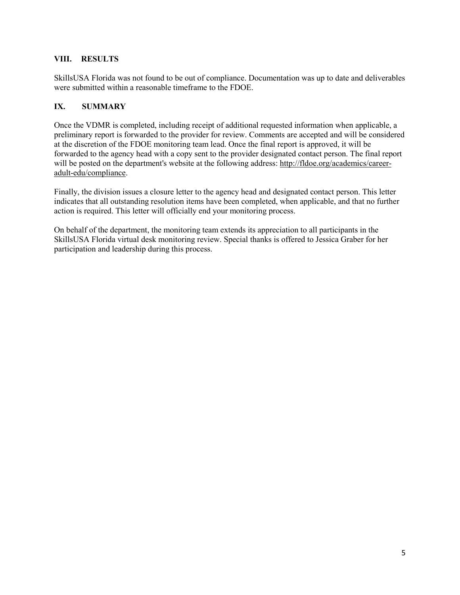#### **VIII. RESULTS**

 SkillsUSA Florida was not found to be out of compliance. Documentation was up to date and deliverables were submitted within a reasonable timeframe to the FDOE.

#### **IX. SUMMARY**

 preliminary report is forwarded to the provider for review. Comments are accepted and will be considered forwarded to the agency head with a copy sent to the provider designated contact person. The final report Once the VDMR is completed, including receipt of additional requested information when applicable, a at the discretion of the FDOE monitoring team lead. Once the final report is approved, it will be will be posted on the department's website at the following address: [http://fldoe.org/academics/career](http://fldoe.org/academics/career-adult-edu/compliance)[adult-edu/compliance.](http://fldoe.org/academics/career-adult-edu/compliance)

 Finally, the division issues a closure letter to the agency head and designated contact person. This letter indicates that all outstanding resolution items have been completed, when applicable, and that no further action is required. This letter will officially end your monitoring process.

 On behalf of the department, the monitoring team extends its appreciation to all participants in the participation and leadership during this process. SkillsUSA Florida virtual desk monitoring review. Special thanks is offered to Jessica Graber for her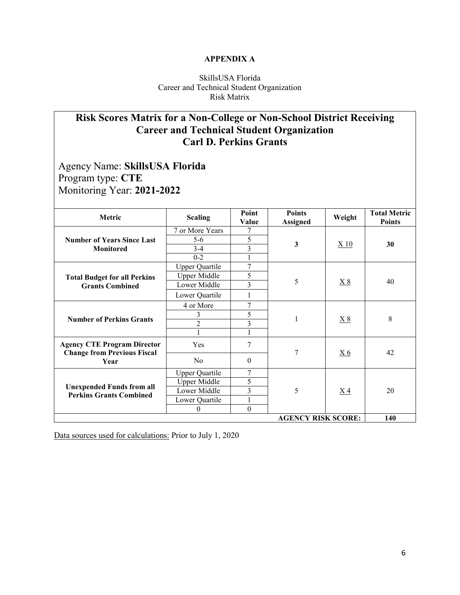#### **APPENDIX A**

#### SkillsUSA Florida Career and Technical Student Organization Risk Matrix

## **Risk Scores Matrix for a Non-College or Non-School District Receiving Career and Technical Student Organization Carl D. Perkins Grants**

 Program type: **CTE**  Monitoring Year: **2021-2022**  Agency Name: **SkillsUSA Florida** 

| Metric                                                             | <b>Scaling</b>        | Point<br>Value   | <b>Points</b><br><b>Assigned</b> | Weight         | <b>Total Metric</b><br><b>Points</b> |  |  |  |
|--------------------------------------------------------------------|-----------------------|------------------|----------------------------------|----------------|--------------------------------------|--|--|--|
|                                                                    | 7 or More Years       | 7                | $\mathbf{3}$                     | X10            | 30                                   |  |  |  |
| <b>Number of Years Since Last</b>                                  | 5-6                   | 5                |                                  |                |                                      |  |  |  |
| <b>Monitored</b>                                                   | $3-4$                 | 3                |                                  |                |                                      |  |  |  |
|                                                                    | $0 - 2$               |                  |                                  |                |                                      |  |  |  |
|                                                                    | <b>Upper Quartile</b> | 7                | 5                                | <u>X 8</u>     | 40                                   |  |  |  |
| <b>Total Budget for all Perkins</b>                                | <b>Upper Middle</b>   | 5                |                                  |                |                                      |  |  |  |
| <b>Grants Combined</b>                                             | Lower Middle          | 3                |                                  |                |                                      |  |  |  |
|                                                                    | Lower Quartile        |                  |                                  |                |                                      |  |  |  |
|                                                                    | 4 or More             | 7                | 1                                | X8             | 8                                    |  |  |  |
| <b>Number of Perkins Grants</b>                                    | 3                     | 5                |                                  |                |                                      |  |  |  |
|                                                                    | $\overline{2}$        | 3                |                                  |                |                                      |  |  |  |
|                                                                    |                       |                  |                                  |                |                                      |  |  |  |
| <b>Agency CTE Program Director</b>                                 | Yes                   | 7                | 7                                |                | 42                                   |  |  |  |
| <b>Change from Previous Fiscal</b><br>Year                         | N <sub>o</sub>        | $\boldsymbol{0}$ |                                  | X <sub>6</sub> |                                      |  |  |  |
|                                                                    | <b>Upper Quartile</b> | 7                | 5                                |                | 20                                   |  |  |  |
|                                                                    | Upper Middle          | 5                |                                  |                |                                      |  |  |  |
| <b>Unexpended Funds from all</b><br><b>Perkins Grants Combined</b> | Lower Middle          | 3                |                                  | X <sub>4</sub> |                                      |  |  |  |
|                                                                    | Lower Quartile        | $\mathbf{1}$     |                                  |                |                                      |  |  |  |
|                                                                    | $\theta$              | $\boldsymbol{0}$ |                                  |                |                                      |  |  |  |
| <b>AGENCY RISK SCORE:</b><br>140                                   |                       |                  |                                  |                |                                      |  |  |  |

Data sources used for calculations: Prior to July 1, 2020